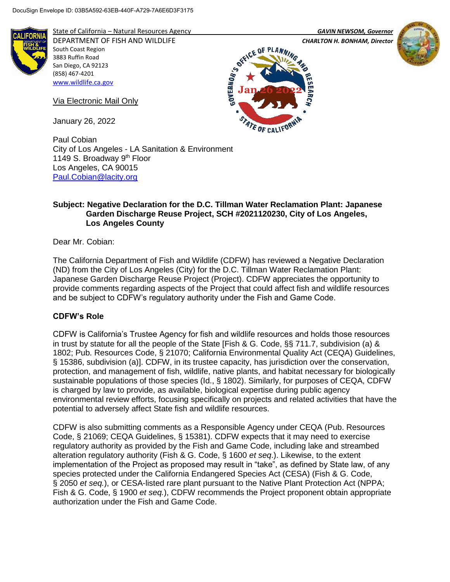

State of California – Natural Resources Agency *GAVIN NEWSOM, Governor*

DEPARTMENT OF FISH AND WILDLIFE *CHARLTON H. BONHAM, Director* 



**GOVERNOR'S** 

Via Electronic Mail Only

January 26, 2022

South Coast Region 3883 Ruffin Road San Diego, CA 92123 (858) 467-4201 [www.wildlife.ca.gov](http://www.wildlife.ca.gov/)

Paul Cobian City of Los Angeles - LA Sanitation & Environment 1149 S. Broadway 9<sup>th</sup> Floor Los Angeles, CA 90015 [Paul.Cobian@lacity.org](mailto:Paul.Cobian@lacity.org) 

## **Subject: Negative Declaration for the D.C. Tillman Water Reclamation Plant: Japanese Garden Discharge Reuse Project, SCH #2021120230, City of Los Angeles, Los Angeles County**

0F

STATE OF CALIFOR

Dear Mr. Cobian:

The California Department of Fish and Wildlife (CDFW) has reviewed a Negative Declaration (ND) from the City of Los Angeles (City) for the D.C. Tillman Water Reclamation Plant: Japanese Garden Discharge Reuse Project (Project). CDFW appreciates the opportunity to provide comments regarding aspects of the Project that could affect fish and wildlife resources and be subject to CDFW's regulatory authority under the Fish and Game Code.

# **CDFW's Role**

CDFW is California's Trustee Agency for fish and wildlife resources and holds those resources in trust by statute for all the people of the State [Fish & G. Code, §§ 711.7, subdivision (a) & 1802; Pub. Resources Code, § 21070; California Environmental Quality Act (CEQA) Guidelines, § 15386, subdivision (a)]. CDFW, in its trustee capacity, has jurisdiction over the conservation, protection, and management of fish, wildlife, native plants, and habitat necessary for biologically sustainable populations of those species (Id., § 1802). Similarly, for purposes of CEQA, CDFW is charged by law to provide, as available, biological expertise during public agency environmental review efforts, focusing specifically on projects and related activities that have the potential to adversely affect State fish and wildlife resources.

CDFW is also submitting comments as a Responsible Agency under CEQA (Pub. Resources Code, § 21069; CEQA Guidelines, § 15381). CDFW expects that it may need to exercise regulatory authority as provided by the Fish and Game Code, including lake and streambed alteration regulatory authority (Fish & G. Code, § 1600 *et seq*.). Likewise, to the extent implementation of the Project as proposed may result in "take", as defined by State law, of any species protected under the California Endangered Species Act (CESA) (Fish & G. Code, § 2050 *et seq.*), or CESA-listed rare plant pursuant to the Native Plant Protection Act (NPPA; Fish & G. Code, § 1900 *et seq.*), CDFW recommends the Project proponent obtain appropriate authorization under the Fish and Game Code.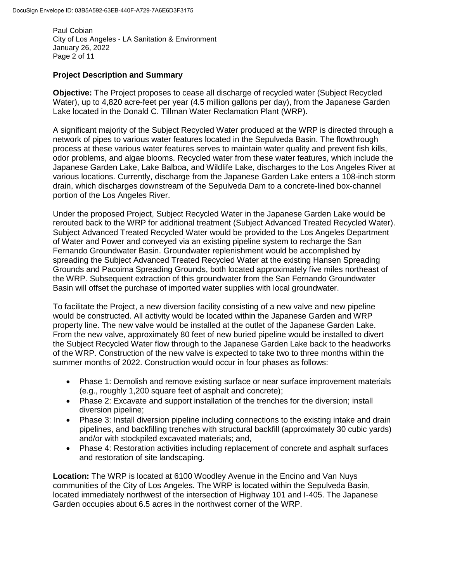Paul Cobian City of Los Angeles - LA Sanitation & Environment January 26, 2022 Page 2 of 11

# **Project Description and Summary**

**Objective:** The Project proposes to cease all discharge of recycled water (Subject Recycled Water), up to 4,820 acre-feet per year (4.5 million gallons per day), from the Japanese Garden Lake located in the Donald C. Tillman Water Reclamation Plant (WRP).

A significant majority of the Subject Recycled Water produced at the WRP is directed through a network of pipes to various water features located in the Sepulveda Basin. The flowthrough process at these various water features serves to maintain water quality and prevent fish kills, odor problems, and algae blooms. Recycled water from these water features, which include the Japanese Garden Lake, Lake Balboa, and Wildlife Lake, discharges to the Los Angeles River at various locations. Currently, discharge from the Japanese Garden Lake enters a 108-inch storm drain, which discharges downstream of the Sepulveda Dam to a concrete-lined box-channel portion of the Los Angeles River.

Under the proposed Project, Subject Recycled Water in the Japanese Garden Lake would be rerouted back to the WRP for additional treatment (Subject Advanced Treated Recycled Water). Subject Advanced Treated Recycled Water would be provided to the Los Angeles Department of Water and Power and conveyed via an existing pipeline system to recharge the San Fernando Groundwater Basin. Groundwater replenishment would be accomplished by spreading the Subject Advanced Treated Recycled Water at the existing Hansen Spreading Grounds and Pacoima Spreading Grounds, both located approximately five miles northeast of the WRP. Subsequent extraction of this groundwater from the San Fernando Groundwater Basin will offset the purchase of imported water supplies with local groundwater.

To facilitate the Project, a new diversion facility consisting of a new valve and new pipeline would be constructed. All activity would be located within the Japanese Garden and WRP property line. The new valve would be installed at the outlet of the Japanese Garden Lake. From the new valve, approximately 80 feet of new buried pipeline would be installed to divert the Subject Recycled Water flow through to the Japanese Garden Lake back to the headworks of the WRP. Construction of the new valve is expected to take two to three months within the summer months of 2022. Construction would occur in four phases as follows:

- Phase 1: Demolish and remove existing surface or near surface improvement materials (e.g., roughly 1,200 square feet of asphalt and concrete);
- Phase 2: Excavate and support installation of the trenches for the diversion; install diversion pipeline;
- Phase 3: Install diversion pipeline including connections to the existing intake and drain pipelines, and backfilling trenches with structural backfill (approximately 30 cubic yards) and/or with stockpiled excavated materials; and,
- Phase 4: Restoration activities including replacement of concrete and asphalt surfaces and restoration of site landscaping.

**Location:** The WRP is located at 6100 Woodley Avenue in the Encino and Van Nuys communities of the City of Los Angeles. The WRP is located within the Sepulveda Basin, located immediately northwest of the intersection of Highway 101 and I-405. The Japanese Garden occupies about 6.5 acres in the northwest corner of the WRP.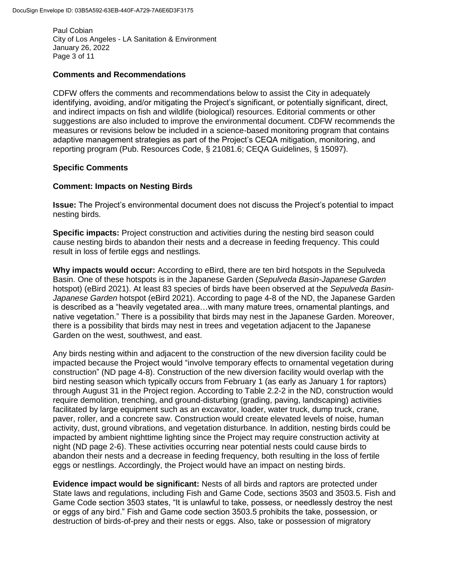Paul Cobian City of Los Angeles - LA Sanitation & Environment January 26, 2022 Page 3 of 11

#### **Comments and Recommendations**

CDFW offers the comments and recommendations below to assist the City in adequately identifying, avoiding, and/or mitigating the Project's significant, or potentially significant, direct, and indirect impacts on fish and wildlife (biological) resources. Editorial comments or other suggestions are also included to improve the environmental document. CDFW recommends the measures or revisions below be included in a science-based monitoring program that contains adaptive management strategies as part of the Project's CEQA mitigation, monitoring, and reporting program (Pub. Resources Code, § 21081.6; CEQA Guidelines, § 15097).

### **Specific Comments**

### **Comment: Impacts on Nesting Birds**

**Issue:** The Project's environmental document does not discuss the Project's potential to impact nesting birds.

**Specific impacts:** Project construction and activities during the nesting bird season could cause nesting birds to abandon their nests and a decrease in feeding frequency. This could result in loss of fertile eggs and nestlings.

**Why impacts would occur:** According to eBird, there are ten bird hotspots in the Sepulveda Basin. One of these hotspots is in the Japanese Garden (*Sepulveda Basin-Japanese Garden* hotspot) (eBird 2021). At least 83 species of birds have been observed at the *Sepulveda Basin-Japanese Garden* hotspot (eBird 2021). According to page 4-8 of the ND, the Japanese Garden is described as a "heavily vegetated area…with many mature trees, ornamental plantings, and native vegetation." There is a possibility that birds may nest in the Japanese Garden. Moreover, there is a possibility that birds may nest in trees and vegetation adjacent to the Japanese Garden on the west, southwest, and east.

Any birds nesting within and adjacent to the construction of the new diversion facility could be impacted because the Project would "involve temporary effects to ornamental vegetation during construction" (ND page 4-8). Construction of the new diversion facility would overlap with the bird nesting season which typically occurs from February 1 (as early as January 1 for raptors) through August 31 in the Project region. According to Table 2.2-2 in the ND, construction would require demolition, trenching, and ground-disturbing (grading, paving, landscaping) activities facilitated by large equipment such as an excavator, loader, water truck, dump truck, crane, paver, roller, and a concrete saw. Construction would create elevated levels of noise, human activity, dust, ground vibrations, and vegetation disturbance. In addition, nesting birds could be impacted by ambient nighttime lighting since the Project may require construction activity at night (ND page 2-6). These activities occurring near potential nests could cause birds to abandon their nests and a decrease in feeding frequency, both resulting in the loss of fertile eggs or nestlings. Accordingly, the Project would have an impact on nesting birds.

**Evidence impact would be significant:** Nests of all birds and raptors are protected under State laws and regulations, including Fish and Game Code, sections 3503 and 3503.5. Fish and Game Code section 3503 states, "It is unlawful to take, possess, or needlessly destroy the nest or eggs of any bird." Fish and Game code section 3503.5 prohibits the take, possession, or destruction of birds-of-prey and their nests or eggs. Also, take or possession of migratory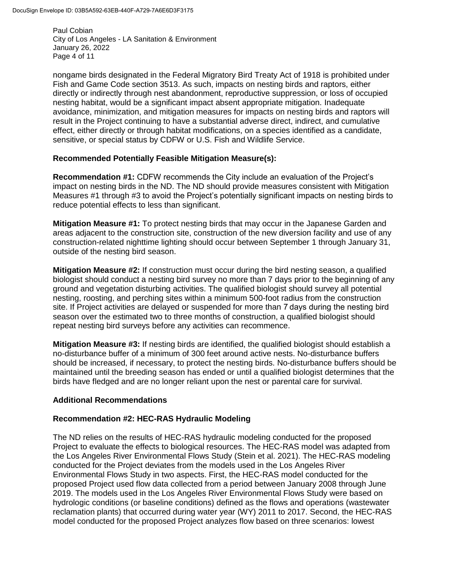Paul Cobian City of Los Angeles - LA Sanitation & Environment January 26, 2022 Page 4 of 11

nongame birds designated in the Federal Migratory Bird Treaty Act of 1918 is prohibited under Fish and Game Code section 3513. As such, impacts on nesting birds and raptors, either directly or indirectly through nest abandonment, reproductive suppression, or loss of occupied nesting habitat, would be a significant impact absent appropriate mitigation. Inadequate avoidance, minimization, and mitigation measures for impacts on nesting birds and raptors will result in the Project continuing to have a substantial adverse direct, indirect, and cumulative effect, either directly or through habitat modifications, on a species identified as a candidate, sensitive, or special status by CDFW or U.S. Fish and Wildlife Service.

#### **Recommended Potentially Feasible Mitigation Measure(s):**

**Recommendation #1:** CDFW recommends the City include an evaluation of the Project's impact on nesting birds in the ND. The ND should provide measures consistent with Mitigation Measures #1 through #3 to avoid the Project's potentially significant impacts on nesting birds to reduce potential effects to less than significant.

**Mitigation Measure #1:** To protect nesting birds that may occur in the Japanese Garden and areas adjacent to the construction site, construction of the new diversion facility and use of any construction-related nighttime lighting should occur between September 1 through January 31, outside of the nesting bird season.

**Mitigation Measure #2:** If construction must occur during the bird nesting season, a qualified biologist should conduct a nesting bird survey no more than 7 days prior to the beginning of any ground and vegetation disturbing activities. The qualified biologist should survey all potential nesting, roosting, and perching sites within a minimum 500-foot radius from the construction site. If Project activities are delayed or suspended for more than 7 days during the nesting bird season over the estimated two to three months of construction, a qualified biologist should repeat nesting bird surveys before any activities can recommence.

**Mitigation Measure #3:** If nesting birds are identified, the qualified biologist should establish a no-disturbance buffer of a minimum of 300 feet around active nests. No-disturbance buffers should be increased, if necessary, to protect the nesting birds. No-disturbance buffers should be maintained until the breeding season has ended or until a qualified biologist determines that the birds have fledged and are no longer reliant upon the nest or parental care for survival.

#### **Additional Recommendations**

#### **Recommendation #2: HEC-RAS Hydraulic Modeling**

The ND relies on the results of HEC-RAS hydraulic modeling conducted for the proposed Project to evaluate the effects to biological resources. The HEC-RAS model was adapted from the Los Angeles River Environmental Flows Study (Stein et al. 2021). The HEC-RAS modeling conducted for the Project deviates from the models used in the Los Angeles River Environmental Flows Study in two aspects. First, the HEC-RAS model conducted for the proposed Project used flow data collected from a period between January 2008 through June 2019. The models used in the Los Angeles River Environmental Flows Study were based on hydrologic conditions (or baseline conditions) defined as the flows and operations (wastewater reclamation plants) that occurred during water year (WY) 2011 to 2017. Second, the HEC-RAS model conducted for the proposed Project analyzes flow based on three scenarios: lowest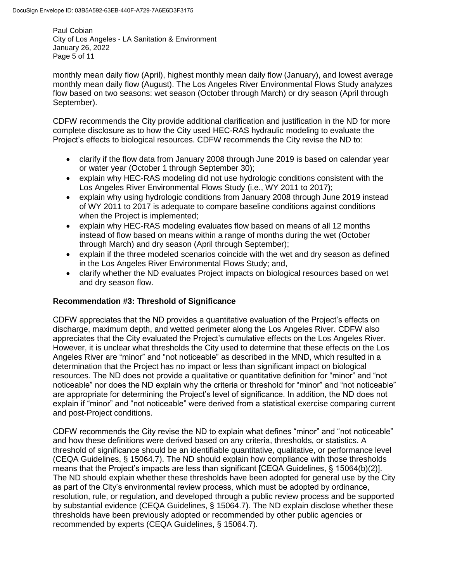Paul Cobian City of Los Angeles - LA Sanitation & Environment January 26, 2022 Page 5 of 11

monthly mean daily flow (April), highest monthly mean daily flow (January), and lowest average monthly mean daily flow (August). The Los Angeles River Environmental Flows Study analyzes flow based on two seasons: wet season (October through March) or dry season (April through September).

CDFW recommends the City provide additional clarification and justification in the ND for more complete disclosure as to how the City used HEC-RAS hydraulic modeling to evaluate the Project's effects to biological resources. CDFW recommends the City revise the ND to:

- clarify if the flow data from January 2008 through June 2019 is based on calendar year or water year (October 1 through September 30);
- explain why HEC-RAS modeling did not use hydrologic conditions consistent with the Los Angeles River Environmental Flows Study (i.e., WY 2011 to 2017);
- explain why using hydrologic conditions from January 2008 through June 2019 instead of WY 2011 to 2017 is adequate to compare baseline conditions against conditions when the Project is implemented;
- explain why HEC-RAS modeling evaluates flow based on means of all 12 months instead of flow based on means within a range of months during the wet (October through March) and dry season (April through September);
- explain if the three modeled scenarios coincide with the wet and dry season as defined in the Los Angeles River Environmental Flows Study; and,
- clarify whether the ND evaluates Project impacts on biological resources based on wet and dry season flow.

# **Recommendation #3: Threshold of Significance**

CDFW appreciates that the ND provides a quantitative evaluation of the Project's effects on discharge, maximum depth, and wetted perimeter along the Los Angeles River. CDFW also appreciates that the City evaluated the Project's cumulative effects on the Los Angeles River. However, it is unclear what thresholds the City used to determine that these effects on the Los Angeles River are "minor" and "not noticeable" as described in the MND, which resulted in a determination that the Project has no impact or less than significant impact on biological resources. The ND does not provide a qualitative or quantitative definition for "minor" and "not noticeable" nor does the ND explain why the criteria or threshold for "minor" and "not noticeable" are appropriate for determining the Project's level of significance. In addition, the ND does not explain if "minor" and "not noticeable" were derived from a statistical exercise comparing current and post-Project conditions.

CDFW recommends the City revise the ND to explain what defines "minor" and "not noticeable" and how these definitions were derived based on any criteria, thresholds, or statistics. A threshold of significance should be an identifiable quantitative, qualitative, or performance level (CEQA Guidelines, § 15064.7). The ND should explain how compliance with those thresholds means that the Project's impacts are less than significant [CEQA Guidelines, § 15064(b)(2)]. The ND should explain whether these thresholds have been adopted for general use by the City as part of the City's environmental review process, which must be adopted by ordinance, resolution, rule, or regulation, and developed through a public review process and be supported by substantial evidence (CEQA Guidelines, § 15064.7). The ND explain disclose whether these thresholds have been previously adopted or recommended by other public agencies or recommended by experts (CEQA Guidelines, § 15064.7).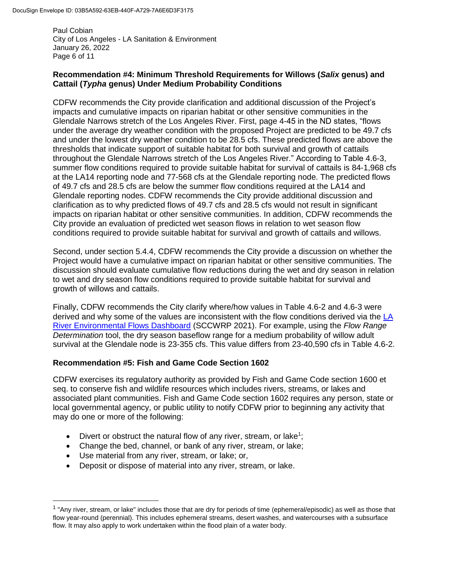Paul Cobian City of Los Angeles - LA Sanitation & Environment January 26, 2022 Page 6 of 11

# **Recommendation #4: Minimum Threshold Requirements for Willows (***Salix* **genus) and Cattail (***Typha* **genus) Under Medium Probability Conditions**

CDFW recommends the City provide clarification and additional discussion of the Project's impacts and cumulative impacts on riparian habitat or other sensitive communities in the Glendale Narrows stretch of the Los Angeles River. First, page 4-45 in the ND states, "flows under the average dry weather condition with the proposed Project are predicted to be 49.7 cfs and under the lowest dry weather condition to be 28.5 cfs. These predicted flows are above the thresholds that indicate support of suitable habitat for both survival and growth of cattails throughout the Glendale Narrows stretch of the Los Angeles River." According to Table 4.6-3, summer flow conditions required to provide suitable habitat for survival of cattails is 84-1,968 cfs at the LA14 reporting node and 77-568 cfs at the Glendale reporting node. The predicted flows of 49.7 cfs and 28.5 cfs are below the summer flow conditions required at the LA14 and Glendale reporting nodes. CDFW recommends the City provide additional discussion and clarification as to why predicted flows of 49.7 cfs and 28.5 cfs would not result in significant impacts on riparian habitat or other sensitive communities. In addition, CDFW recommends the City provide an evaluation of predicted wet season flows in relation to wet season flow conditions required to provide suitable habitat for survival and growth of cattails and willows.

Second, under section 5.4.4, CDFW recommends the City provide a discussion on whether the Project would have a cumulative impact on riparian habitat or other sensitive communities. The discussion should evaluate cumulative flow reductions during the wet and dry season in relation to wet and dry season flow conditions required to provide suitable habitat for survival and growth of willows and cattails.

Finally, CDFW recommends the City clarify where/how values in Table 4.6-2 and 4.6-3 were derived and why some of the values are inconsistent with the flow conditions derived via the [LA](https://sccwrp.shinyapps.io/lar_eflows_shinyapp/)  [River Environmental Flows Dashboard](https://sccwrp.shinyapps.io/lar_eflows_shinyapp/) (SCCWRP 2021). For example, using the *Flow Range Determination* tool, the dry season baseflow range for a medium probability of willow adult survival at the Glendale node is 23-355 cfs. This value differs from 23-40,590 cfs in Table 4.6-2.

# **Recommendation #5: Fish and Game Code Section 1602**

CDFW exercises its regulatory authority as provided by Fish and Game Code section 1600 et seq. to conserve fish and wildlife resources which includes rivers, streams, or lakes and associated plant communities. Fish and Game Code section 1602 requires any person, state or local governmental agency, or public utility to notify CDFW prior to beginning any activity that may do one or more of the following:

- Divert or obstruct the natural flow of any river, stream, or lake<sup>1</sup>;
- Change the bed, channel, or bank of any river, stream, or lake;
- Use material from any river, stream, or lake; or,

 $\overline{\phantom{a}}$ 

Deposit or dispose of material into any river, stream, or lake.

<sup>&</sup>lt;sup>1</sup> "Any river, stream, or lake" includes those that are dry for periods of time (ephemeral/episodic) as well as those that flow year-round (perennial). This includes ephemeral streams, desert washes, and watercourses with a subsurface flow. It may also apply to work undertaken within the flood plain of a water body.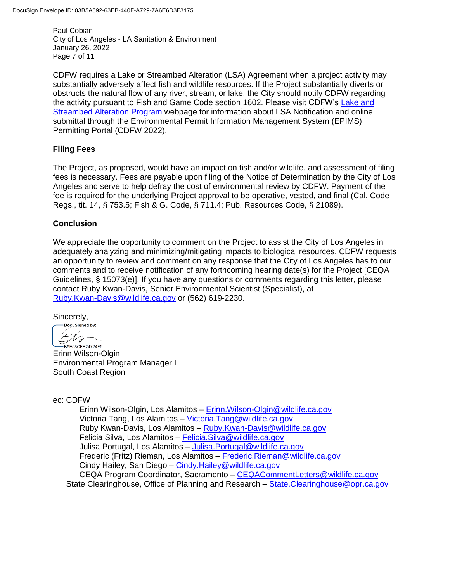Paul Cobian City of Los Angeles - LA Sanitation & Environment January 26, 2022 Page 7 of 11

CDFW requires a Lake or Streambed Alteration (LSA) Agreement when a project activity may substantially adversely affect fish and wildlife resources. If the Project substantially diverts or obstructs the natural flow of any river, stream, or lake, the City should notify CDFW regarding the activity pursuant to Fish and Game Code section 1602. Please visit CDFW's [Lake and](https://wildlife.ca.gov/Conservation/LSA)  [Streambed Alteration Program](https://wildlife.ca.gov/Conservation/LSA) webpage for information about LSA Notification and online submittal through the Environmental Permit Information Management System (EPIMS) Permitting Portal (CDFW 2022).

### **Filing Fees**

The Project, as proposed, would have an impact on fish and/or wildlife, and assessment of filing fees is necessary. Fees are payable upon filing of the Notice of Determination by the City of Los Angeles and serve to help defray the cost of environmental review by CDFW. Payment of the fee is required for the underlying Project approval to be operative, vested, and final (Cal. Code Regs., tit. 14, § 753.5; Fish & G. Code, § 711.4; Pub. Resources Code, § 21089).

### **Conclusion**

We appreciate the opportunity to comment on the Project to assist the City of Los Angeles in adequately analyzing and minimizing/mitigating impacts to biological resources. CDFW requests an opportunity to review and comment on any response that the City of Los Angeles has to our comments and to receive notification of any forthcoming hearing date(s) for the Project [CEQA Guidelines, § 15073(e)]. If you have any questions or comments regarding this letter, please contact Ruby Kwan-Davis, Senior Environmental Scientist (Specialist), at [Ruby.Kwan-Davis@wildlife.ca.gov](mailto:Ruby.Kwan-Davis@wildlife.ca.gov) or (562) 619-2230.

Sincerely,

DocuSigned by: Dro B6E58CFE24724F5..

Erinn Wilson-Olgin Environmental Program Manager I South Coast Region

ec: CDFW

Erinn Wilson-Olgin, Los Alamitos – [Erinn.Wilson-Olgin@wildlife.ca.gov](mailto:Erinn.Wilson-Olgin@wildlife.ca.gov) Victoria Tang, Los Alamitos – [Victoria.Tang@wildlife.ca.gov](mailto:Victoria.Tang@wildlife.ca.gov) Ruby Kwan-Davis, Los Alamitos – [Ruby.Kwan-Davis@wildlife.ca.gov](mailto:Ruby.Kwan-Davis@wildlife.ca.gov) Felicia Silva, Los Alamitos – [Felicia.Silva@wildlife.ca.gov](mailto:Felicia.Silva@wildlife.ca.gov) Julisa Portugal, Los Alamitos – [Julisa.Portugal@wildlife.ca.gov](mailto:Julisa.Portugal@wildlife.ca.gov) Frederic (Fritz) Rieman, Los Alamitos – [Frederic.Rieman@wildlife.ca.gov](mailto:Frederic.Rieman@wildlife.ca.gov) Cindy Hailey, San Diego – [Cindy.Hailey@wildlife.ca.gov](mailto:Cindy.Hailey@wildlife.ca.gov) CEQA Program Coordinator, Sacramento – [CEQACommentLetters@wildlife.ca.gov](mailto:CEQACommentLetters@wildlife.ca.gov)  State Clearinghouse, Office of Planning and Research – [State.Clearinghouse@opr.ca.gov](mailto:State.Clearinghouse@opr.ca.gov)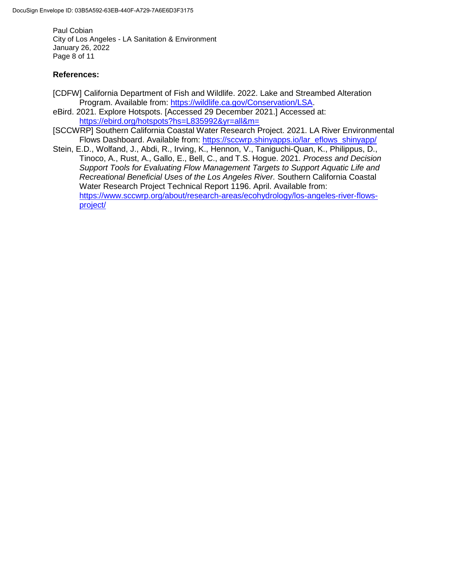Paul Cobian City of Los Angeles - LA Sanitation & Environment January 26, 2022 Page 8 of 11

# **References:**

- [CDFW] California Department of Fish and Wildlife. 2022. Lake and Streambed Alteration Program. Available from: [https://wildlife.ca.gov/Conservation/LSA.](https://wildlife.ca.gov/Conservation/LSA)
- eBird. 2021. Explore Hotspots. [Accessed 29 December 2021.] Accessed at: <https://ebird.org/hotspots?hs=L835992&yr=all&m=>
- [SCCWRP] Southern California Coastal Water Research Project. 2021. LA River Environmental Flows Dashboard. Available from: [https://sccwrp.shinyapps.io/lar\\_eflows\\_shinyapp/](https://sccwrp.shinyapps.io/lar_eflows_shinyapp/)
- Stein, E.D., Wolfand, J., Abdi, R., Irving, K., Hennon, V., Taniguchi-Quan, K., Philippus, D., Tinoco, A., Rust, A., Gallo, E., Bell, C., and T.S. Hogue. 2021. *Process and Decision Support Tools for Evaluating Flow Management Targets to Support Aquatic Life and Recreational Beneficial Uses of the Los Angeles River.* Southern California Coastal Water Research Project Technical Report 1196. April. Available from: [https://www.sccwrp.org/about/research-areas/ecohydrology/los-angeles-river-flows](https://www.sccwrp.org/about/research-areas/ecohydrology/los-angeles-river-flows-project/)[project/](https://www.sccwrp.org/about/research-areas/ecohydrology/los-angeles-river-flows-project/)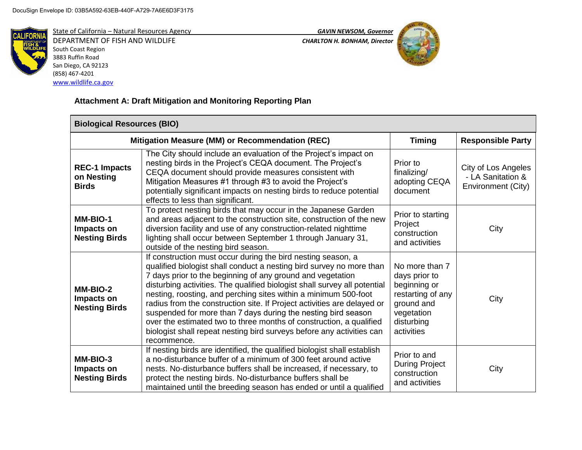

State of California – Natural Resources Agency *GAVIN NEWSOM, Governor* DEPARTMENT OF FISH AND WILDLIFE *CHARLTON H. BONHAM, Director*  South Coast Region

3883 Ruffin Road San Diego, CA 92123 (858) 467-4201 [www.wildlife.ca.gov](http://www.wildlife.ca.gov/)



# **Attachment A: Draft Mitigation and Monitoring Reporting Plan**

| <b>Biological Resources (BIO)</b>                  |                                                                                                                                                                                                                                                                                                                                                                                                                                                                                                                                                                                                                                                               |                                                                                                                              |                                                                |  |  |
|----------------------------------------------------|---------------------------------------------------------------------------------------------------------------------------------------------------------------------------------------------------------------------------------------------------------------------------------------------------------------------------------------------------------------------------------------------------------------------------------------------------------------------------------------------------------------------------------------------------------------------------------------------------------------------------------------------------------------|------------------------------------------------------------------------------------------------------------------------------|----------------------------------------------------------------|--|--|
| Mitigation Measure (MM) or Recommendation (REC)    |                                                                                                                                                                                                                                                                                                                                                                                                                                                                                                                                                                                                                                                               | <b>Timing</b>                                                                                                                | <b>Responsible Party</b>                                       |  |  |
| <b>REC-1 Impacts</b><br>on Nesting<br><b>Birds</b> | The City should include an evaluation of the Project's impact on<br>nesting birds in the Project's CEQA document. The Project's<br>CEQA document should provide measures consistent with<br>Mitigation Measures #1 through #3 to avoid the Project's<br>potentially significant impacts on nesting birds to reduce potential<br>effects to less than significant.                                                                                                                                                                                                                                                                                             | Prior to<br>finalizing/<br>adopting CEQA<br>document                                                                         | City of Los Angeles<br>- LA Sanitation &<br>Environment (City) |  |  |
| MM-BIO-1<br>Impacts on<br><b>Nesting Birds</b>     | To protect nesting birds that may occur in the Japanese Garden<br>and areas adjacent to the construction site, construction of the new<br>diversion facility and use of any construction-related nighttime<br>lighting shall occur between September 1 through January 31,<br>outside of the nesting bird season.                                                                                                                                                                                                                                                                                                                                             | Prior to starting<br>Project<br>construction<br>and activities                                                               | City                                                           |  |  |
| MM-BIO-2<br>Impacts on<br><b>Nesting Birds</b>     | If construction must occur during the bird nesting season, a<br>qualified biologist shall conduct a nesting bird survey no more than<br>7 days prior to the beginning of any ground and vegetation<br>disturbing activities. The qualified biologist shall survey all potential<br>nesting, roosting, and perching sites within a minimum 500-foot<br>radius from the construction site. If Project activities are delayed or<br>suspended for more than 7 days during the nesting bird season<br>over the estimated two to three months of construction, a qualified<br>biologist shall repeat nesting bird surveys before any activities can<br>recommence. | No more than 7<br>days prior to<br>beginning or<br>restarting of any<br>ground and<br>vegetation<br>disturbing<br>activities | City                                                           |  |  |
| MM-BIO-3<br>Impacts on<br><b>Nesting Birds</b>     | If nesting birds are identified, the qualified biologist shall establish<br>a no-disturbance buffer of a minimum of 300 feet around active<br>nests. No-disturbance buffers shall be increased, if necessary, to<br>protect the nesting birds. No-disturbance buffers shall be<br>maintained until the breeding season has ended or until a qualified                                                                                                                                                                                                                                                                                                         | Prior to and<br><b>During Project</b><br>construction<br>and activities                                                      | City                                                           |  |  |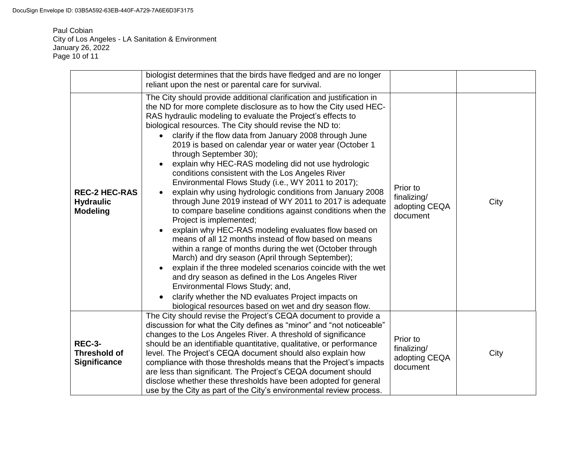DocuSign Envelope ID: 03B5A592-63EB-440F-A729-7A6E6D3F3175

Paul Cobian City of Los Angeles - LA Sanitation & Environment January 26, 2022 Page 10 of 11

|                                                             | biologist determines that the birds have fledged and are no longer<br>reliant upon the nest or parental care for survival.                                                                                                                                                                                                                                                                                                                                                                                                                                                                                                                                                                                                                                                                                                                                                                                                                                                                                                                                                                                                                                                                                                                                                                                        |                                                      |      |
|-------------------------------------------------------------|-------------------------------------------------------------------------------------------------------------------------------------------------------------------------------------------------------------------------------------------------------------------------------------------------------------------------------------------------------------------------------------------------------------------------------------------------------------------------------------------------------------------------------------------------------------------------------------------------------------------------------------------------------------------------------------------------------------------------------------------------------------------------------------------------------------------------------------------------------------------------------------------------------------------------------------------------------------------------------------------------------------------------------------------------------------------------------------------------------------------------------------------------------------------------------------------------------------------------------------------------------------------------------------------------------------------|------------------------------------------------------|------|
| <b>REC-2 HEC-RAS</b><br><b>Hydraulic</b><br><b>Modeling</b> | The City should provide additional clarification and justification in<br>the ND for more complete disclosure as to how the City used HEC-<br>RAS hydraulic modeling to evaluate the Project's effects to<br>biological resources. The City should revise the ND to:<br>clarify if the flow data from January 2008 through June<br>2019 is based on calendar year or water year (October 1<br>through September 30);<br>explain why HEC-RAS modeling did not use hydrologic<br>conditions consistent with the Los Angeles River<br>Environmental Flows Study (i.e., WY 2011 to 2017);<br>explain why using hydrologic conditions from January 2008<br>through June 2019 instead of WY 2011 to 2017 is adequate<br>to compare baseline conditions against conditions when the<br>Project is implemented;<br>explain why HEC-RAS modeling evaluates flow based on<br>means of all 12 months instead of flow based on means<br>within a range of months during the wet (October through<br>March) and dry season (April through September);<br>explain if the three modeled scenarios coincide with the wet<br>and dry season as defined in the Los Angeles River<br>Environmental Flows Study; and,<br>clarify whether the ND evaluates Project impacts on<br>biological resources based on wet and dry season flow. | Prior to<br>finalizing/<br>adopting CEQA<br>document | City |
| <b>REC-3-</b><br><b>Threshold of</b><br><b>Significance</b> | The City should revise the Project's CEQA document to provide a<br>discussion for what the City defines as "minor" and "not noticeable"<br>changes to the Los Angeles River. A threshold of significance<br>should be an identifiable quantitative, qualitative, or performance<br>level. The Project's CEQA document should also explain how<br>compliance with those thresholds means that the Project's impacts<br>are less than significant. The Project's CEQA document should<br>disclose whether these thresholds have been adopted for general<br>use by the City as part of the City's environmental review process.                                                                                                                                                                                                                                                                                                                                                                                                                                                                                                                                                                                                                                                                                     | Prior to<br>finalizing/<br>adopting CEQA<br>document | City |